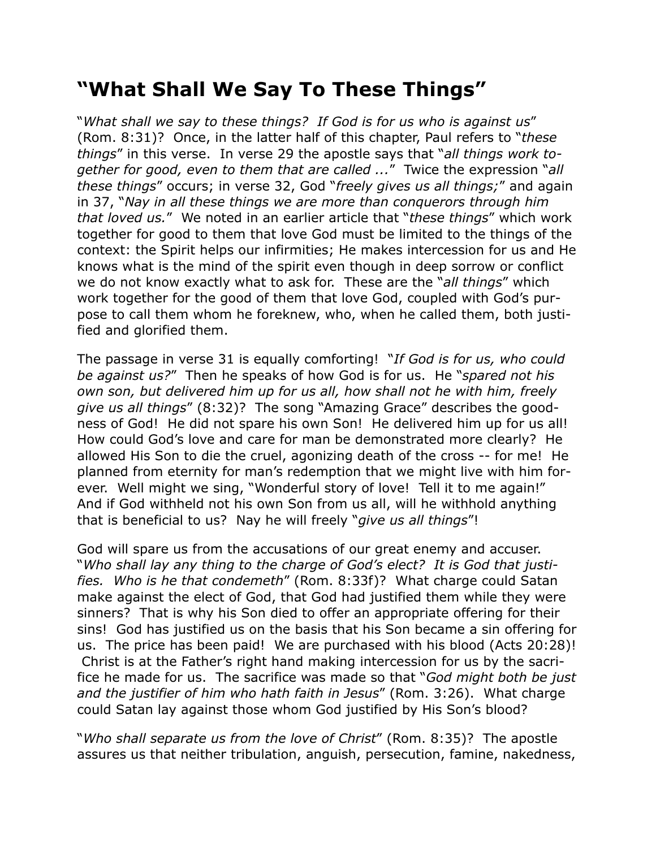## **"What Shall We Say To These Things"**

"*What shall we say to these things? If God is for us who is against us*" (Rom. 8:31)? Once, in the latter half of this chapter, Paul refers to "*these things*" in this verse. In verse 29 the apostle says that "*all things work together for good, even to them that are called ...*" Twice the expression "*all these things*" occurs; in verse 32, God "*freely gives us all things;*" and again in 37, "*Nay in all these things we are more than conquerors through him that loved us.*" We noted in an earlier article that "*these things*" which work together for good to them that love God must be limited to the things of the context: the Spirit helps our infirmities; He makes intercession for us and He knows what is the mind of the spirit even though in deep sorrow or conflict we do not know exactly what to ask for. These are the "*all things*" which work together for the good of them that love God, coupled with God's purpose to call them whom he foreknew, who, when he called them, both justified and glorified them.

The passage in verse 31 is equally comforting! "*If God is for us, who could be against us?*" Then he speaks of how God is for us. He "*spared not his own son, but delivered him up for us all, how shall not he with him, freely give us all things*" (8:32)? The song "Amazing Grace" describes the goodness of God! He did not spare his own Son! He delivered him up for us all! How could God's love and care for man be demonstrated more clearly? He allowed His Son to die the cruel, agonizing death of the cross -- for me! He planned from eternity for man's redemption that we might live with him forever. Well might we sing, "Wonderful story of love! Tell it to me again!" And if God withheld not his own Son from us all, will he withhold anything that is beneficial to us? Nay he will freely "*give us all things*"!

God will spare us from the accusations of our great enemy and accuser. "*Who shall lay any thing to the charge of God's elect? It is God that justifies. Who is he that condemeth*" (Rom. 8:33f)? What charge could Satan make against the elect of God, that God had justified them while they were sinners? That is why his Son died to offer an appropriate offering for their sins! God has justified us on the basis that his Son became a sin offering for us. The price has been paid! We are purchased with his blood (Acts 20:28)! Christ is at the Father's right hand making intercession for us by the sacrifice he made for us. The sacrifice was made so that "*God might both be just and the justifier of him who hath faith in Jesus*" (Rom. 3:26). What charge could Satan lay against those whom God justified by His Son's blood?

"*Who shall separate us from the love of Christ*" (Rom. 8:35)? The apostle assures us that neither tribulation, anguish, persecution, famine, nakedness,